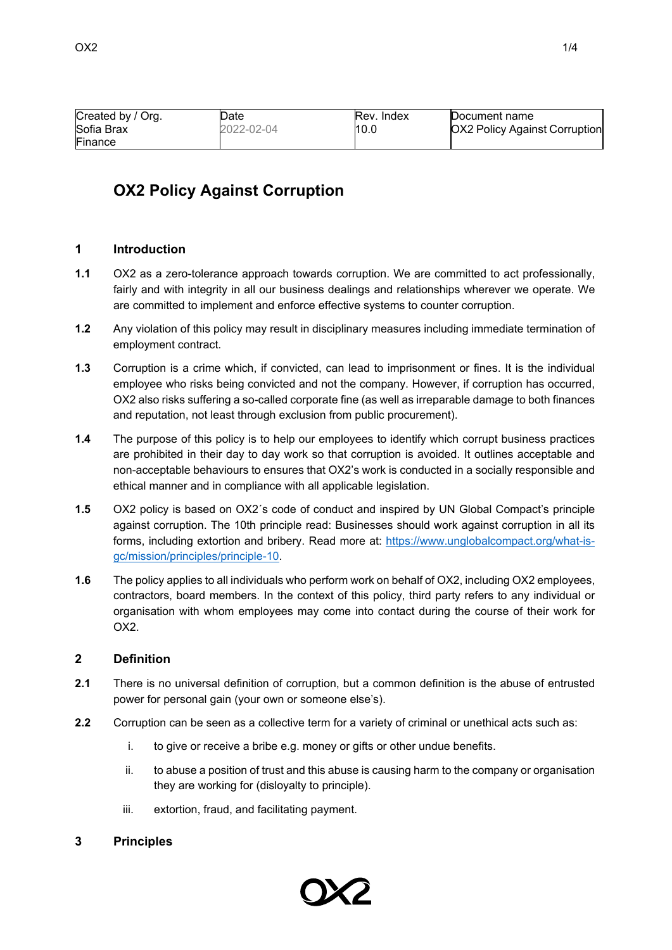| Created by / Org. | Date       | Rev. Index | Document name                        |
|-------------------|------------|------------|--------------------------------------|
| Sofia Brax        | 2022-02-04 | 10.0       | <b>OX2 Policy Against Corruption</b> |
| Finance           |            |            |                                      |

# **OX2 Policy Against Corruption**

#### **1 Introduction**

- **1.1** OX2 as a zero-tolerance approach towards corruption. We are committed to act professionally, fairly and with integrity in all our business dealings and relationships wherever we operate. We are committed to implement and enforce effective systems to counter corruption.
- **1.2** Any violation of this policy may result in disciplinary measures including immediate termination of employment contract.
- **1.3** Corruption is a crime which, if convicted, can lead to imprisonment or fines. It is the individual employee who risks being convicted and not the company. However, if corruption has occurred, OX2 also risks suffering a so-called corporate fine (as well as irreparable damage to both finances and reputation, not least through exclusion from public procurement).
- **1.4** The purpose of this policy is to help our employees to identify which corrupt business practices are prohibited in their day to day work so that corruption is avoided. It outlines acceptable and non-acceptable behaviours to ensures that OX2's work is conducted in a socially responsible and ethical manner and in compliance with all applicable legislation.
- **1.5** OX2 policy is based on OX2´s code of conduct and inspired by UN Global Compact's principle against corruption. The 10th principle read: Businesses should work against corruption in all its forms, including extortion and bribery. Read more at: [https://www.unglobalcompact.org/what-is](https://www.unglobalcompact.org/what-is-gc/mission/principles/principle-10)[gc/mission/principles/principle-10.](https://www.unglobalcompact.org/what-is-gc/mission/principles/principle-10)
- **1.6** The policy applies to all individuals who perform work on behalf of OX2, including OX2 employees, contractors, board members. In the context of this policy, third party refers to any individual or organisation with whom employees may come into contact during the course of their work for OX2.

#### **2 Definition**

- **2.1** There is no universal definition of corruption, but a common definition is the abuse of entrusted power for personal gain (your own or someone else's).
- **2.2** Corruption can be seen as a collective term for a variety of criminal or unethical acts such as:
	- i. to give or receive a bribe e.g. money or gifts or other undue benefits.
	- ii. to abuse a position of trust and this abuse is causing harm to the company or organisation they are working for (disloyalty to principle).
	- iii. extortion, fraud, and facilitating payment.

### **3 Principles**

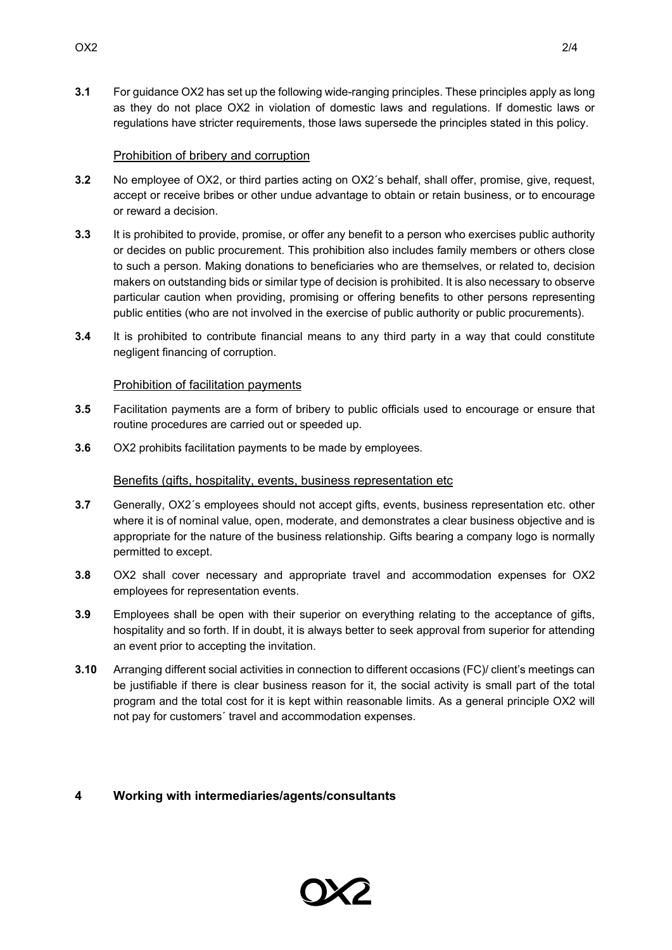**3.1** For guidance OX2 has set up the following wide-ranging principles. These principles apply as long as they do not place OX2 in violation of domestic laws and regulations. If domestic laws or regulations have stricter requirements, those laws supersede the principles stated in this policy.

# Prohibition of bribery and corruption

- **3.2** No employee of OX2, or third parties acting on OX2´s behalf, shall offer, promise, give, request, accept or receive bribes or other undue advantage to obtain or retain business, or to encourage or reward a decision.
- **3.3** It is prohibited to provide, promise, or offer any benefit to a person who exercises public authority or decides on public procurement. This prohibition also includes family members or others close to such a person. Making donations to beneficiaries who are themselves, or related to, decision makers on outstanding bids or similar type of decision is prohibited. It is also necessary to observe particular caution when providing, promising or offering benefits to other persons representing public entities (who are not involved in the exercise of public authority or public procurements).
- **3.4** It is prohibited to contribute financial means to any third party in a way that could constitute negligent financing of corruption.

# Prohibition of facilitation payments

- **3.5** Facilitation payments are a form of bribery to public officials used to encourage or ensure that routine procedures are carried out or speeded up.
- **3.6** OX2 prohibits facilitation payments to be made by employees.

# Benefits (gifts, hospitality, events, business representation etc

- **3.7** Generally, OX2´s employees should not accept gifts, events, business representation etc. other where it is of nominal value, open, moderate, and demonstrates a clear business objective and is appropriate for the nature of the business relationship. Gifts bearing a company logo is normally permitted to except.
- **3.8** OX2 shall cover necessary and appropriate travel and accommodation expenses for OX2 employees for representation events.
- **3.9** Employees shall be open with their superior on everything relating to the acceptance of gifts, hospitality and so forth. If in doubt, it is always better to seek approval from superior for attending an event prior to accepting the invitation.
- **3.10** Arranging different social activities in connection to different occasions (FC)/ client's meetings can be justifiable if there is clear business reason for it, the social activity is small part of the total program and the total cost for it is kept within reasonable limits. As a general principle OX2 will not pay for customers´ travel and accommodation expenses.

# **4 Working with intermediaries/agents/consultants**

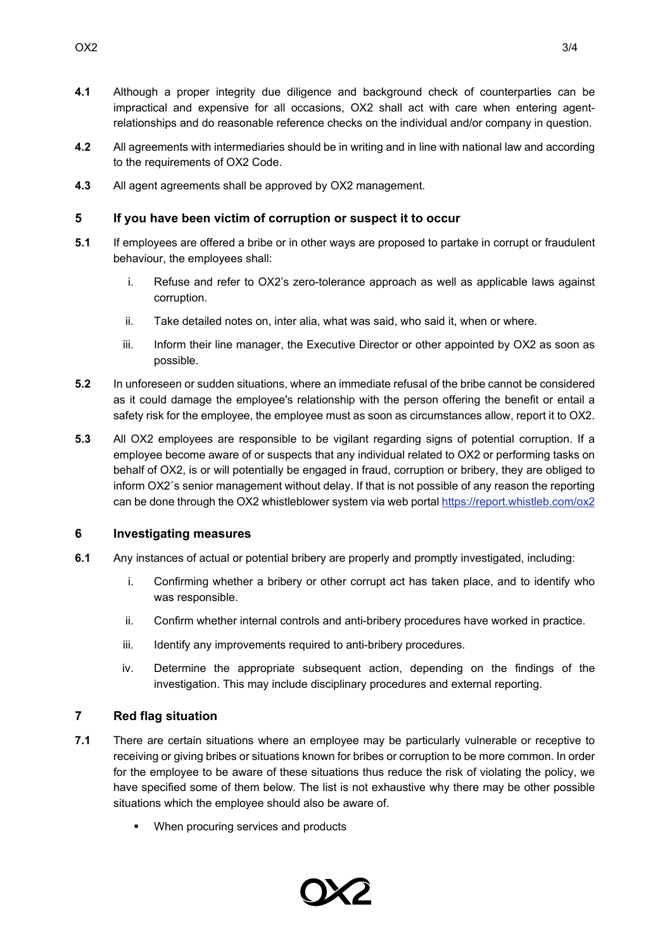- **4.1** Although a proper integrity due diligence and background check of counterparties can be impractical and expensive for all occasions, OX2 shall act with care when entering agentrelationships and do reasonable reference checks on the individual and/or company in question.
- **4.2** All agreements with intermediaries should be in writing and in line with national law and according to the requirements of OX2 Code.
- **4.3** All agent agreements shall be approved by OX2 management.

### **5 If you have been victim of corruption or suspect it to occur**

- **5.1** If employees are offered a bribe or in other ways are proposed to partake in corrupt or fraudulent behaviour, the employees shall:
	- i. Refuse and refer to OX2's zero-tolerance approach as well as applicable laws against corruption.
	- ii. Take detailed notes on, inter alia, what was said, who said it, when or where.
	- iii. Inform their line manager, the Executive Director or other appointed by OX2 as soon as possible.
- **5.2** In unforeseen or sudden situations, where an immediate refusal of the bribe cannot be considered as it could damage the employee's relationship with the person offering the benefit or entail a safety risk for the employee, the employee must as soon as circumstances allow, report it to OX2.
- **5.3** All OX2 employees are responsible to be vigilant regarding signs of potential corruption. If a employee become aware of or suspects that any individual related to OX2 or performing tasks on behalf of OX2, is or will potentially be engaged in fraud, corruption or bribery, they are obliged to inform OX2´s senior management without delay. If that is not possible of any reason the reporting can be done through the OX2 whistleblower system via web porta[l https://report.whistleb.com/ox2](https://eur03.safelinks.protection.outlook.com/?url=https%3A%2F%2Freport.whistleb.com%2Fox2&data=04%7C01%7Csofia.brax%40ox2.com%7C29574f8fab01429b8ec808d9d417ceb8%7C857b431efd02447f8fb732a39290abcf%7C0%7C0%7C637774021005339682%7CUnknown%7CTWFpbGZsb3d8eyJWIjoiMC4wLjAwMDAiLCJQIjoiV2luMzIiLCJBTiI6Ik1haWwiLCJXVCI6Mn0%3D%7C3000&sdata=sJMQV1jTCj5iM3jmUSM6I%2FqrBnRn8C0iQNBypk6U7io%3D&reserved=0)

### **6 Investigating measures**

- **6.1** Any instances of actual or potential bribery are properly and promptly investigated, including:
	- i. Confirming whether a bribery or other corrupt act has taken place, and to identify who was responsible.
	- ii. Confirm whether internal controls and anti-bribery procedures have worked in practice.
	- iii. Identify any improvements required to anti-bribery procedures.
	- iv. Determine the appropriate subsequent action, depending on the findings of the investigation. This may include disciplinary procedures and external reporting.

### **7 Red flag situation**

- **7.1** There are certain situations where an employee may be particularly vulnerable or receptive to receiving or giving bribes or situations known for bribes or corruption to be more common. In order for the employee to be aware of these situations thus reduce the risk of violating the policy, we have specified some of them below. The list is not exhaustive why there may be other possible situations which the employee should also be aware of.
	- When procuring services and products